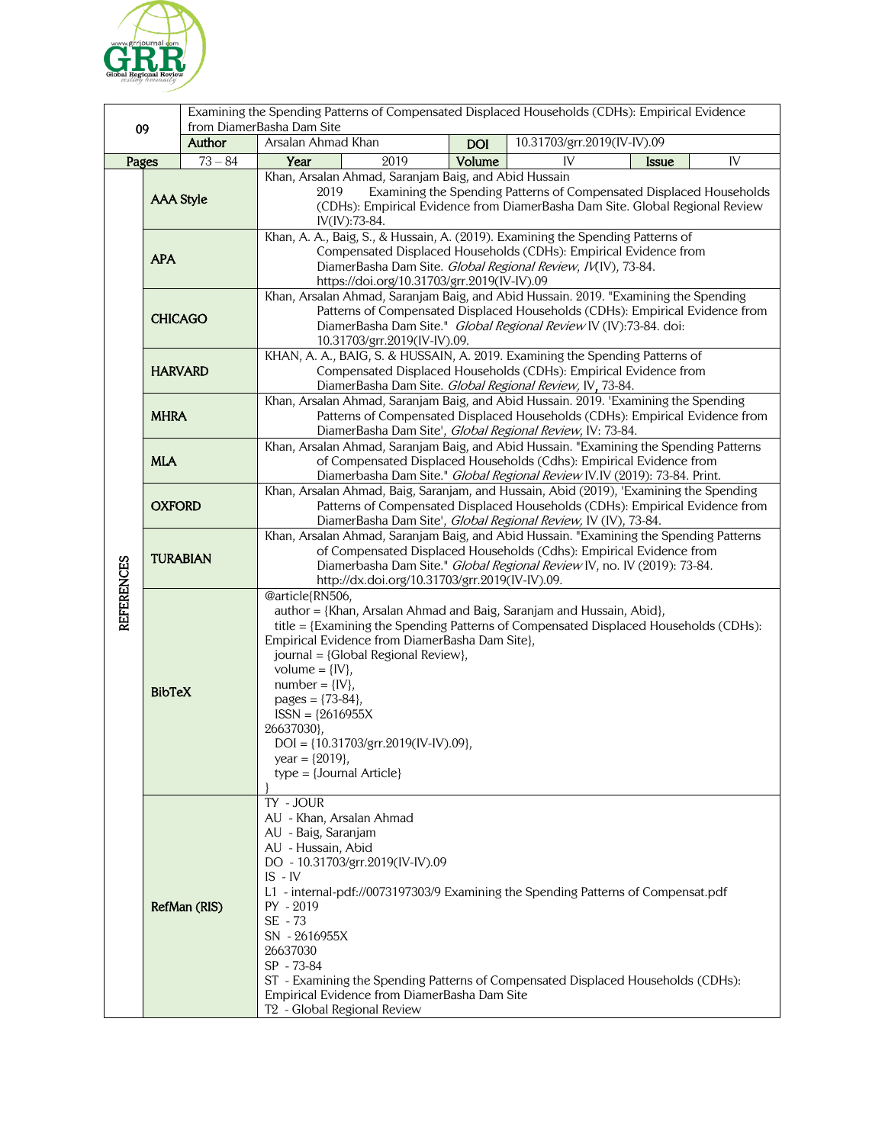

|                   |                  |           | Examining the Spending Patterns of Compensated Displaced Households (CDHs): Empirical Evidence                                                                                                                                                                                                                                                                                                                                                                                     |            |                             |              |    |  |
|-------------------|------------------|-----------|------------------------------------------------------------------------------------------------------------------------------------------------------------------------------------------------------------------------------------------------------------------------------------------------------------------------------------------------------------------------------------------------------------------------------------------------------------------------------------|------------|-----------------------------|--------------|----|--|
| 09                |                  | Author    | from DiamerBasha Dam Site<br>Arsalan Ahmad Khan                                                                                                                                                                                                                                                                                                                                                                                                                                    | <b>DOI</b> | 10.31703/grr.2019(IV-IV).09 |              |    |  |
| Pages             |                  | $73 - 84$ | Year<br>2019                                                                                                                                                                                                                                                                                                                                                                                                                                                                       | Volume     | IV                          | <b>Issue</b> | IV |  |
| <b>REFERENCES</b> | <b>AAA Style</b> |           | Khan, Arsalan Ahmad, Saranjam Baig, and Abid Hussain<br>2019<br>Examining the Spending Patterns of Compensated Displaced Households<br>(CDHs): Empirical Evidence from DiamerBasha Dam Site. Global Regional Review<br>IV(IV):73-84.                                                                                                                                                                                                                                               |            |                             |              |    |  |
|                   | <b>APA</b>       |           | Khan, A. A., Baig, S., & Hussain, A. (2019). Examining the Spending Patterns of<br>Compensated Displaced Households (CDHs): Empirical Evidence from<br>DiamerBasha Dam Site. Global Regional Review, IV(IV), 73-84.<br>https://doi.org/10.31703/grr.2019(IV-IV).09                                                                                                                                                                                                                 |            |                             |              |    |  |
|                   | <b>CHICAGO</b>   |           | Khan, Arsalan Ahmad, Saranjam Baig, and Abid Hussain. 2019. "Examining the Spending<br>Patterns of Compensated Displaced Households (CDHs): Empirical Evidence from<br>DiamerBasha Dam Site." Global Regional Review IV (IV):73-84. doi:<br>10.31703/grr.2019(IV-IV).09.                                                                                                                                                                                                           |            |                             |              |    |  |
|                   | <b>HARVARD</b>   |           | KHAN, A. A., BAIG, S. & HUSSAIN, A. 2019. Examining the Spending Patterns of<br>Compensated Displaced Households (CDHs): Empirical Evidence from<br>DiamerBasha Dam Site. Global Regional Review, IV, 73-84.                                                                                                                                                                                                                                                                       |            |                             |              |    |  |
|                   | <b>MHRA</b>      |           | Khan, Arsalan Ahmad, Saranjam Baig, and Abid Hussain. 2019. 'Examining the Spending<br>Patterns of Compensated Displaced Households (CDHs): Empirical Evidence from<br>DiamerBasha Dam Site', Global Regional Review, IV: 73-84.                                                                                                                                                                                                                                                   |            |                             |              |    |  |
|                   | <b>MLA</b>       |           | Khan, Arsalan Ahmad, Saranjam Baig, and Abid Hussain. "Examining the Spending Patterns<br>of Compensated Displaced Households (Cdhs): Empirical Evidence from<br>Diamerbasha Dam Site." Global Regional Review IV.IV (2019): 73-84. Print.                                                                                                                                                                                                                                         |            |                             |              |    |  |
|                   | <b>OXFORD</b>    |           | Khan, Arsalan Ahmad, Baig, Saranjam, and Hussain, Abid (2019), 'Examining the Spending<br>Patterns of Compensated Displaced Households (CDHs): Empirical Evidence from<br>DiamerBasha Dam Site', Global Regional Review, IV (IV), 73-84.                                                                                                                                                                                                                                           |            |                             |              |    |  |
|                   | <b>TURABIAN</b>  |           | Khan, Arsalan Ahmad, Saranjam Baig, and Abid Hussain. "Examining the Spending Patterns<br>of Compensated Displaced Households (Cdhs): Empirical Evidence from<br>Diamerbasha Dam Site." Global Regional Review IV, no. IV (2019): 73-84.<br>http://dx.doi.org/10.31703/grr.2019(IV-IV).09.                                                                                                                                                                                         |            |                             |              |    |  |
|                   | <b>BibTeX</b>    |           | @article{RN506,<br>author = {Khan, Arsalan Ahmad and Baig, Saranjam and Hussain, Abid},<br>title = {Examining the Spending Patterns of Compensated Displaced Households (CDHs):<br>Empirical Evidence from DiamerBasha Dam Site},<br>journal = {Global Regional Review},<br>volume = $\{IV\}$ ,<br>$number = \{IV\},$<br>pages = ${73-84}$ ,<br>$ISSN = {2616955X}$<br>26637030},<br>$DOI = \{10.31703/grr.2019(IV-IV).09\},$<br>year = $\{2019\}$ ,<br>$type = {Journal Article}$ |            |                             |              |    |  |
|                   | RefMan (RIS)     |           | TY - JOUR<br>AU - Khan, Arsalan Ahmad<br>AU - Baig, Saranjam<br>AU - Hussain, Abid<br>DO - 10.31703/grr.2019(IV-IV).09<br>$IS$ - $IV$<br>L1 - internal-pdf://0073197303/9 Examining the Spending Patterns of Compensat.pdf<br>$PY - 2019$<br>SE - 73<br>SN - 2616955X<br>26637030<br>SP - 73-84<br>ST - Examining the Spending Patterns of Compensated Displaced Households (CDHs):<br>Empirical Evidence from DiamerBasha Dam Site<br>T <sub>2</sub> - Global Regional Review     |            |                             |              |    |  |